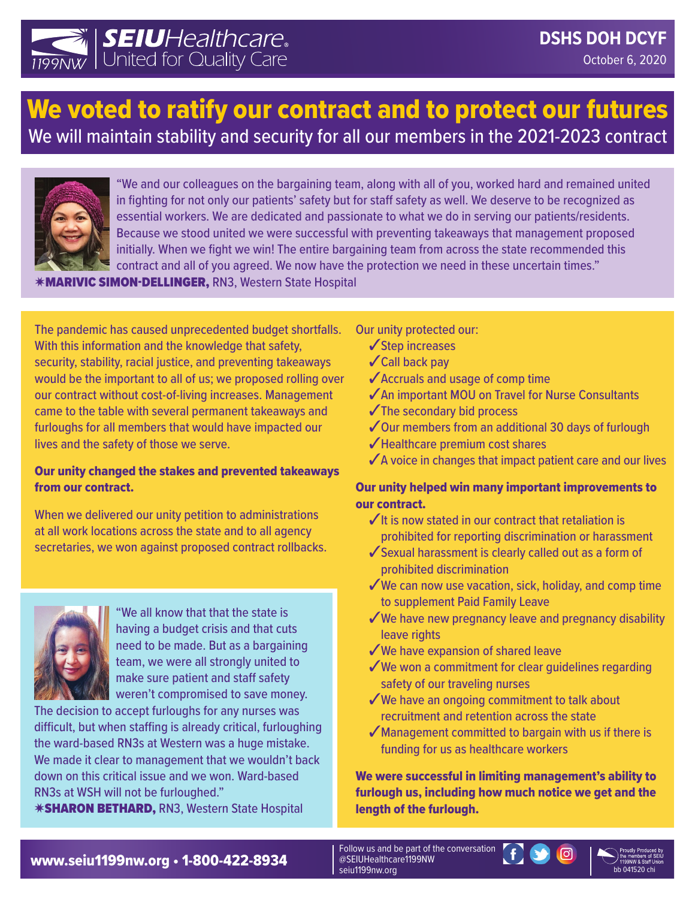

# We voted to ratify our contract and to protect our futures We will maintain stability and security for all our members in the 2021-2023 contract



"We and our colleagues on the bargaining team, along with all of you, worked hard and remained united in fighting for not only our patients' safety but for staff safety as well. We deserve to be recognized as essential workers. We are dedicated and passionate to what we do in serving our patients/residents. Because we stood united we were successful with preventing takeaways that management proposed initially. When we fight we win! The entire bargaining team from across the state recommended this contract and all of you agreed. We now have the protection we need in these uncertain times."

✷MARIVIC SIMON-DELLINGER, RN3, Western State Hospital

The pandemic has caused unprecedented budget shortfalls. With this information and the knowledge that safety, security, stability, racial justice, and preventing takeaways would be the important to all of us; we proposed rolling over our contract without cost-of-living increases. Management came to the table with several permanent takeaways and furloughs for all members that would have impacted our lives and the safety of those we serve.

## Our unity changed the stakes and prevented takeaways from our contract.

When we delivered our unity petition to administrations at all work locations across the state and to all agency secretaries, we won against proposed contract rollbacks.



"We all know that that the state is having a budget crisis and that cuts need to be made. But as a bargaining team, we were all strongly united to make sure patient and staff safety weren't compromised to save money.

The decision to accept furloughs for any nurses was difficult, but when staffing is already critical, furloughing the ward-based RN3s at Western was a huge mistake. We made it clear to management that we wouldn't back down on this critical issue and we won. Ward-based RN3s at WSH will not be furloughed."

✷SHARON BETHARD, RN3, Western State Hospital

## Our unity protected our:

- ✓Step increases
- ✓Call back pay
- ✓Accruals and usage of comp time
- ✓An important MOU on Travel for Nurse Consultants
- ✓The secondary bid process
- ✓Our members from an additional 30 days of furlough
- ✓Healthcare premium cost shares
- $\sqrt{\phantom{a}}$  A voice in changes that impact patient care and our lives

## Our unity helped win many important improvements to our contract.

- $\checkmark$  It is now stated in our contract that retaliation is prohibited for reporting discrimination or harassment
- ✓Sexual harassment is clearly called out as a form of prohibited discrimination
- $\sqrt{}$ We can now use vacation, sick, holiday, and comp time to supplement Paid Family Leave
- $\sqrt{ }$  We have new pregnancy leave and pregnancy disability leave rights
- ✓We have expansion of shared leave
- $\sqrt{ }$  We won a commitment for clear quidelines regarding safety of our traveling nurses
- $\sqrt{}$  We have an ongoing commitment to talk about recruitment and retention across the state
- $\sqrt{\frac{1}{10}}$ Management committed to bargain with us if there is funding for us as healthcare workers

We were successful in limiting management's ability to furlough us, including how much notice we get and the length of the furlough.

**www.seiu1199nw.org • 1-800-422-8934** and a serial decreased by the althcare 1199NW cross of the members of the members of the members of the members of the parts of the parts of the parts of the parts of the parts of the

Follow us and be part of the conversation @SEIUHealthcare1199NW seiu1199nw.org